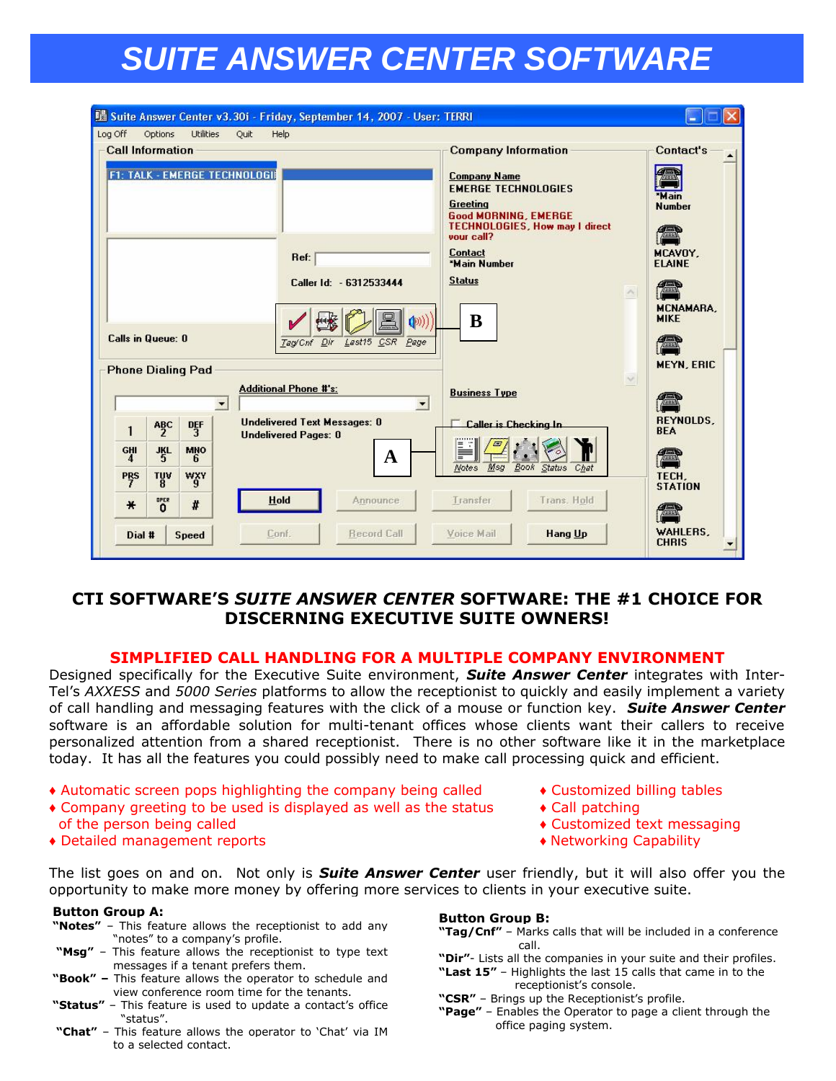# *SUITE ANSWER CENTER SOFTWARE*

|                                                                                            |                  |                  | <u> 陽 Suite Answer Center v3.30i - Friday, September 14, 2007 - User: TERRI</u> |                                                    |                                                                                                                                                                                                                                           |                          | ۰.                                                                                                                                       |  |
|--------------------------------------------------------------------------------------------|------------------|------------------|---------------------------------------------------------------------------------|----------------------------------------------------|-------------------------------------------------------------------------------------------------------------------------------------------------------------------------------------------------------------------------------------------|--------------------------|------------------------------------------------------------------------------------------------------------------------------------------|--|
| Log Off<br><b>Call Information</b><br><b>Calls in Queue: 0</b><br><b>Phone Dialing Pad</b> | Options          | <b>Utilities</b> | Quit<br>Help<br><b>F1: TALK - EMERGE TECHNOLOGII</b><br>Ref:<br>Tag/Cnf Dir     | Caller Id: - 6312533444<br>((@)<br>Last15 CSR Page | <b>Company Information</b><br><b>Company Name</b><br><b>EMERGE TECHNOLOGIES</b><br>Greeting<br><b>Good MORNING, EMERGE</b><br><b>TECHNOLOGIES, How may I direct</b><br>vour call?<br><b>Contact</b><br>*Main Number<br><b>Status</b><br>B | $\mathcal{N}_\mathbb{C}$ | Contact's<br>*Main<br><b>Number</b><br>æ<br>MCAVOY.<br><b>ELAINE</b><br>(en<br><b>MCNAMARA.</b><br><b>MIKE</b><br>æ<br><b>MEYN, ERIC</b> |  |
|                                                                                            |                  |                  | <b>Additional Phone #'s:</b><br>$\overline{\phantom{a}}$                        | $\overline{\phantom{a}}$                           | <b>Business Type</b>                                                                                                                                                                                                                      | $\sim$                   |                                                                                                                                          |  |
| 1                                                                                          | $A_2^BC$         | $\frac{DF}{3}$   | <b>Undelivered Text Messages: 0</b><br><b>Undelivered Pages: 0</b>              |                                                    | <b>Caller is Checking In</b>                                                                                                                                                                                                              |                          | <b>REYNOLDS.</b><br><b>BEA</b>                                                                                                           |  |
| GHI<br>$\frac{1}{5}$<br><b>MNO</b><br>4                                                    |                  |                  |                                                                                 | $\mathbf A$                                        | Ξ                                                                                                                                                                                                                                         |                          |                                                                                                                                          |  |
| <b>PRS</b><br>$\frac{70V}{8}$<br>WXY                                                       |                  |                  |                                                                                 |                                                    | Msg<br>Book Status<br>Chat<br><b>Notes</b>                                                                                                                                                                                                | TECH,<br><b>STATION</b>  |                                                                                                                                          |  |
| $\star$                                                                                    | OPER<br>$\Omega$ | #                | Hold                                                                            | Announce                                           | Transfer<br>Trans. Hold                                                                                                                                                                                                                   |                          |                                                                                                                                          |  |
| Dial #                                                                                     |                  | <b>Speed</b>     | Conf.                                                                           | <b>Record Call</b>                                 | Voice Mail<br><b>Hang Up</b>                                                                                                                                                                                                              |                          | WAHLERS.<br><b>CHRIS</b>                                                                                                                 |  |

## **CTI SOFTWARE'S** *SUITE ANSWER CENTER* **SOFTWARE: THE #1 CHOICE FOR DISCERNING EXECUTIVE SUITE OWNERS!**

#### **SIMPLIFIED CALL HANDLING FOR A MULTIPLE COMPANY ENVIRONMENT**

Designed specifically for the Executive Suite environment, *Suite Answer Center* integrates with Inter-Tel's *AXXESS* and *5000 Series* platforms to allow the receptionist to quickly and easily implement a variety of call handling and messaging features with the click of a mouse or function key. *Suite Answer Center* software is an affordable solution for multi-tenant offices whose clients want their callers to receive personalized attention from a shared receptionist. There is no other software like it in the marketplace today. It has all the features you could possibly need to make call processing quick and efficient.

- ♦ Automatic screen pops highlighting the company being called ♦ Customized billing tables
- $\bullet$  Company greeting to be used is displayed as well as the status  $\bullet$  Call patching of the person being called  $\bullet$  Customized text messaging
- ♦ Detailed management reports ♦ Networking Capability
- 
- 
- -

The list goes on and on. Not only is *Suite Answer Center* user friendly, but it will also offer you the opportunity to make more money by offering more services to clients in your executive suite.

#### **Button Group A:**

- **"Notes"** This feature allows the receptionist to add any "notes" to a company's profile.
- **"Msg"** This feature allows the receptionist to type text messages if a tenant prefers them.
- **"Book" –** This feature allows the operator to schedule and view conference room time for the tenants.
- **"Status"** This feature is used to update a contact's office "status".
- **"Chat"** This feature allows the operator to 'Chat' via IM to a selected contact.

#### **Button Group B:**

- **"Tag/Cnf"** Marks calls that will be included in a conference call.
- **"Dir"** Lists all the companies in your suite and their profiles.
- **"Last 15"**  Highlights the last 15 calls that came in to the receptionist's console.
- **"CSR"** Brings up the Receptionist's profile.
- **"Page"** Enables the Operator to page a client through the office paging system.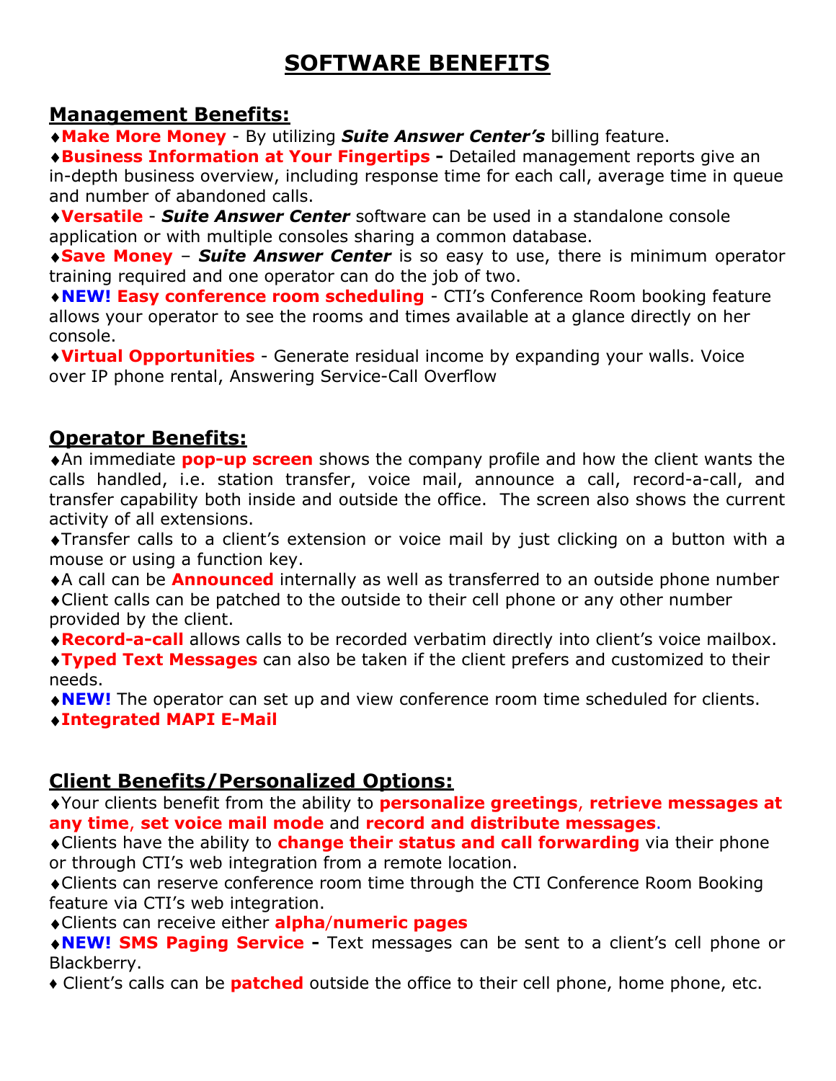## **SOFTWARE BENEFITS**

## **Management Benefits:**

**Make More Money** - By utilizing *Suite Answer Center's* billing feature.

**Business Information at Your Fingertips -** Detailed management reports give an in-depth business overview, including response time for each call, average time in queue and number of abandoned calls.

**Versatile** - *Suite Answer Center* software can be used in a standalone console application or with multiple consoles sharing a common database.

**Save Money** – *Suite Answer Center* is so easy to use, there is minimum operator training required and one operator can do the job of two.

**NEW! Easy conference room scheduling** - CTI's Conference Room booking feature allows your operator to see the rooms and times available at a glance directly on her console.

**Virtual Opportunities** - Generate residual income by expanding your walls. Voice over IP phone rental, Answering Service-Call Overflow

## **Operator Benefits:**

An immediate **pop-up screen** shows the company profile and how the client wants the calls handled, i.e. station transfer, voice mail, announce a call, record-a-call, and transfer capability both inside and outside the office. The screen also shows the current activity of all extensions.

Transfer calls to a client's extension or voice mail by just clicking on a button with a mouse or using a function key.

A call can be **Announced** internally as well as transferred to an outside phone number

Client calls can be patched to the outside to their cell phone or any other number provided by the client.

**Record-a-call** allows calls to be recorded verbatim directly into client's voice mailbox.

**Typed Text Messages** can also be taken if the client prefers and customized to their needs.

**NEW!** The operator can set up and view conference room time scheduled for clients.

**Integrated MAPI E-Mail**

## **Client Benefits/Personalized Options:**

Your clients benefit from the ability to **personalize greetings**, **retrieve messages at any time**, **set voice mail mode** and **record and distribute messages**.

Clients have the ability to **change their status and call forwarding** via their phone or through CTI's web integration from a remote location.

Clients can reserve conference room time through the CTI Conference Room Booking feature via CTI's web integration.

Clients can receive either **alpha**/**numeric pages**

**NEW! SMS Paging Service -** Text messages can be sent to a client's cell phone or Blackberry.

**♦** Client's calls can be **patched** outside the office to their cell phone, home phone, etc.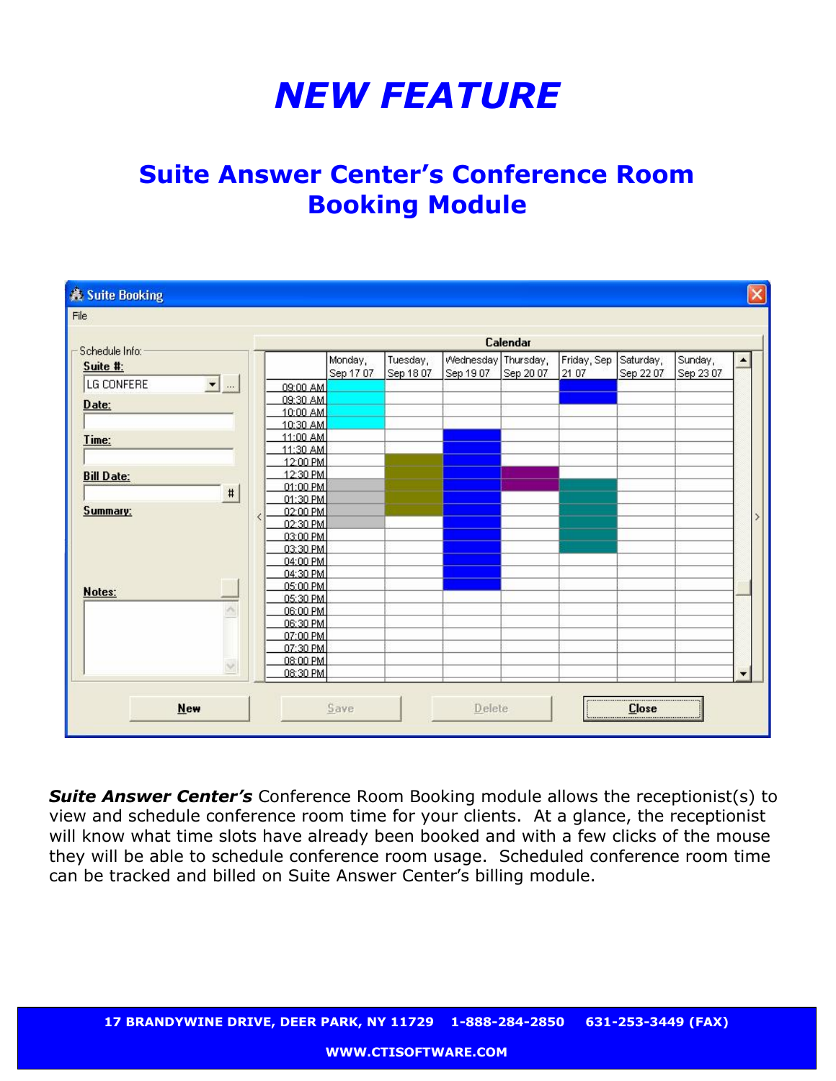# *NEW FEATURE*

# **Suite Answer Center's Conference Room Booking Module**

|                                           |                       | Calendar             |           |           |                     |           |             |           |           |                  |  |
|-------------------------------------------|-----------------------|----------------------|-----------|-----------|---------------------|-----------|-------------|-----------|-----------|------------------|--|
| Schedule Info:                            |                       |                      | Monday,   | Tuesday,  | Wednesday Thursday, |           | Friday, Sep | Saturday, | Sunday,   | $\blacktriangle$ |  |
| Suite #:                                  |                       |                      | Sep 17 07 | Sep 18 07 | Sep 19 07           | Sep 20 07 | 21 07       | Sep 22.07 | Sep 23 07 |                  |  |
| $\overline{\mathbf{E}}$ and<br>LG CONFERE |                       | 09:00 AM             |           |           |                     |           |             |           |           |                  |  |
|                                           |                       | 09:30 AM             |           |           |                     |           |             |           |           |                  |  |
| Date:                                     |                       | 10:00 AM             |           |           |                     |           |             |           |           |                  |  |
|                                           |                       | 10:30 AM             |           |           |                     |           |             |           |           |                  |  |
| Time:                                     |                       | 11:00 AM             |           |           |                     |           |             |           |           |                  |  |
|                                           |                       | 11:30 AM             |           |           |                     |           |             |           |           |                  |  |
|                                           |                       | 12:00 PM             |           |           |                     |           |             |           |           |                  |  |
| <b>Bill Date:</b>                         |                       | 12:30 PM             |           |           |                     |           |             |           |           |                  |  |
| $\sharp$                                  |                       | 01:00 PM             |           |           |                     |           |             |           |           |                  |  |
|                                           |                       | 01:30 PM             |           |           |                     |           |             |           |           |                  |  |
| <b>Summary:</b>                           | $\overline{\epsilon}$ | 02:00 PM             |           |           |                     |           |             |           |           |                  |  |
|                                           |                       | 02:30 PM             |           |           |                     |           |             |           |           |                  |  |
|                                           |                       | 03:00 PM             |           |           |                     |           |             |           |           |                  |  |
|                                           |                       | 03:30 PM             |           |           |                     |           |             |           |           |                  |  |
|                                           |                       | 04:00 PM             |           |           |                     |           |             |           |           |                  |  |
|                                           |                       | 04:30 PM             |           |           |                     |           |             |           |           |                  |  |
| Notes:                                    |                       | 05:00 PM             |           |           |                     |           |             |           |           |                  |  |
| ×                                         |                       | 05:30 PM<br>06:00 PM |           |           |                     |           |             |           |           |                  |  |
|                                           |                       | 06:30 PM             |           |           |                     |           |             |           |           |                  |  |
|                                           |                       | 07:00 PM             |           |           |                     |           |             |           |           |                  |  |
|                                           |                       | 07:30 PM             |           |           |                     |           |             |           |           |                  |  |
|                                           |                       | 08:00 PM             |           |           |                     |           |             |           |           |                  |  |
|                                           |                       | 08:30 PM             |           |           |                     |           |             |           |           |                  |  |
|                                           |                       |                      |           |           |                     |           |             |           |           |                  |  |

**Suite Answer Center's** Conference Room Booking module allows the receptionist(s) to view and schedule conference room time for your clients. At a glance, the receptionist will know what time slots have already been booked and with a few clicks of the mouse they will be able to schedule conference room usage. Scheduled conference room time can be tracked and billed on Suite Answer Center's billing module.